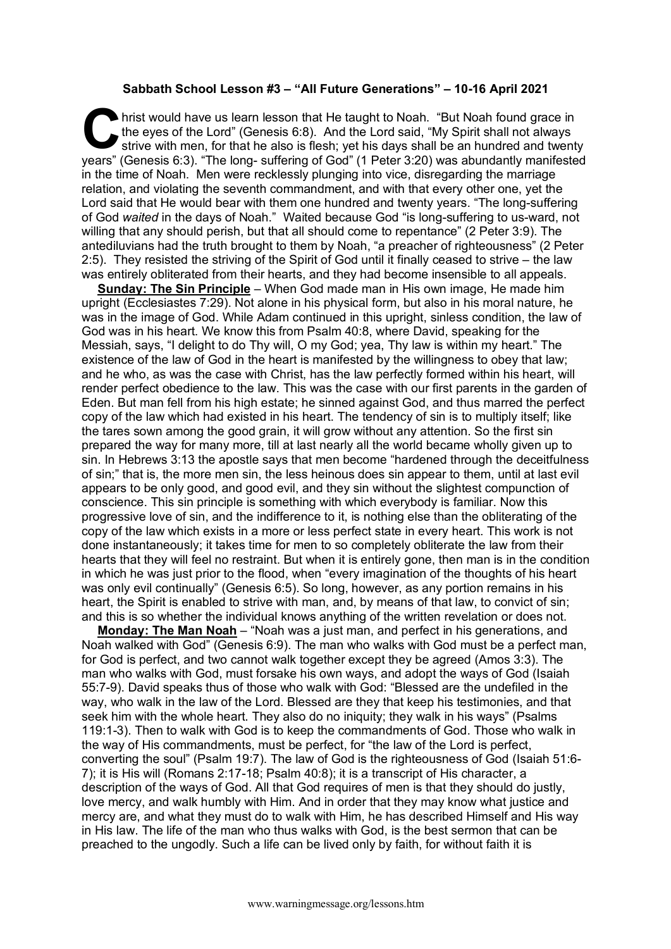## **Sabbath School Lesson #3 – "All Future Generations" – 10-16 April 2021**

hrist would have us learn lesson that He taught to Noah. "But Noah found grace in the eyes of the Lord" (Genesis 6:8). And the Lord said, "My Spirit shall not always strive with men, for that he also is flesh; yet his days shall be an hundred and twenty It is the eyes of the Lord" (Genesis 6:8). And the Lord said, "But Noah found grace in the eyes of the Lord" (Genesis 6:8). And the Lord said, "My Spirit shall not always strive with men, for that he also is flesh; yet his in the time of Noah. Men were recklessly plunging into vice, disregarding the marriage relation, and violating the seventh commandment, and with that every other one, yet the Lord said that He would bear with them one hundred and twenty years. "The long-suffering of God *waited* in the days of Noah." Waited because God "is long-suffering to us-ward, not willing that any should perish, but that all should come to repentance" (2 Peter 3:9). The antediluvians had the truth brought to them by Noah, "a preacher of righteousness" (2 Peter 2:5). They resisted the striving of the Spirit of God until it finally ceased to strive – the law was entirely obliterated from their hearts, and they had become insensible to all appeals.

**Sunday: The Sin Principle** – When God made man in His own image, He made him upright (Ecclesiastes 7:29). Not alone in his physical form, but also in his moral nature, he was in the image of God. While Adam continued in this upright, sinless condition, the law of God was in his heart. We know this from Psalm 40:8, where David, speaking for the Messiah, says, "I delight to do Thy will, O my God; yea, Thy law is within my heart." The existence of the law of God in the heart is manifested by the willingness to obey that law; and he who, as was the case with Christ, has the law perfectly formed within his heart, will render perfect obedience to the law. This was the case with our first parents in the garden of Eden. But man fell from his high estate; he sinned against God, and thus marred the perfect copy of the law which had existed in his heart. The tendency of sin is to multiply itself; like the tares sown among the good grain, it will grow without any attention. So the first sin prepared the way for many more, till at last nearly all the world became wholly given up to sin. In Hebrews 3:13 the apostle says that men become "hardened through the deceitfulness of sin;" that is, the more men sin, the less heinous does sin appear to them, until at last evil appears to be only good, and good evil, and they sin without the slightest compunction of conscience. This sin principle is something with which everybody is familiar. Now this progressive love of sin, and the indifference to it, is nothing else than the obliterating of the copy of the law which exists in a more or less perfect state in every heart. This work is not done instantaneously; it takes time for men to so completely obliterate the law from their hearts that they will feel no restraint. But when it is entirely gone, then man is in the condition in which he was just prior to the flood, when "every imagination of the thoughts of his heart was only evil continually" (Genesis 6:5). So long, however, as any portion remains in his heart, the Spirit is enabled to strive with man, and, by means of that law, to convict of sin; and this is so whether the individual knows anything of the written revelation or does not.

**Monday: The Man Noah** – "Noah was a just man, and perfect in his generations, and Noah walked with God" (Genesis 6:9). The man who walks with God must be a perfect man, for God is perfect, and two cannot walk together except they be agreed (Amos 3:3). The man who walks with God, must forsake his own ways, and adopt the ways of God (Isaiah 55:7-9). David speaks thus of those who walk with God: "Blessed are the undefiled in the way, who walk in the law of the Lord. Blessed are they that keep his testimonies, and that seek him with the whole heart. They also do no iniquity; they walk in his ways" (Psalms 119:1-3). Then to walk with God is to keep the commandments of God. Those who walk in the way of His commandments, must be perfect, for "the law of the Lord is perfect, converting the soul" (Psalm 19:7). The law of God is the righteousness of God (Isaiah 51:6- 7); it is His will (Romans 2:17-18; Psalm 40:8); it is a transcript of His character, a description of the ways of God. All that God requires of men is that they should do justly, love mercy, and walk humbly with Him. And in order that they may know what justice and mercy are, and what they must do to walk with Him, he has described Himself and His way in His law. The life of the man who thus walks with God, is the best sermon that can be preached to the ungodly. Such a life can be lived only by faith, for without faith it is